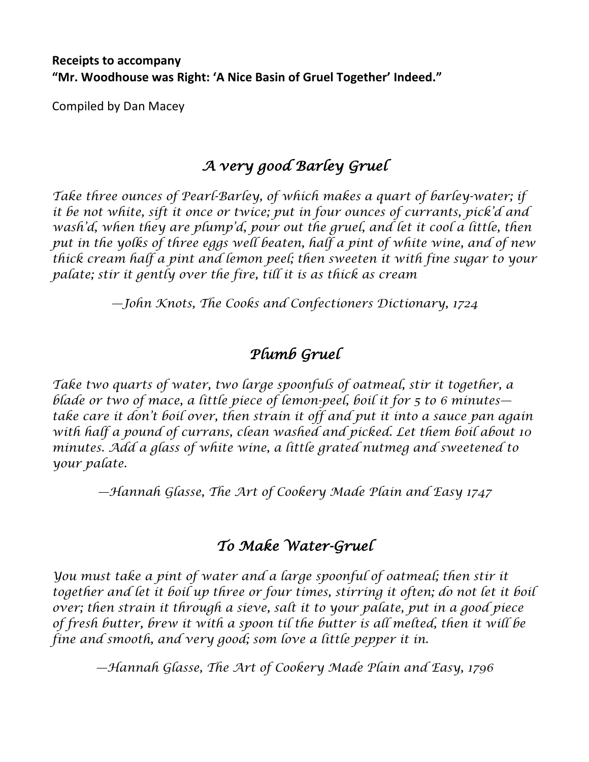#### **Receipts to accompany "Mr. Woodhouse was Right: 'A Nice Basin of Gruel Together' Indeed."**

Compiled by Dan Macey

## *A very good Barley Gruel*

*Take three ounces of Pearl-Barley, of which makes a quart of barley-water; if it be not white, sift it once or twice; put in four ounces of currants, pick'd and wash'd, when they are plump'd, pour out the gruel, and let it cool a little, then put in the yolks of three eggs well beaten, half a pint of white wine, and of new thick cream half a pint and lemon peel; then sweeten it with fine sugar to your palate; stir it gently over the fire, till it is as thick as cream*

*—John Knots, The Cooks and Confectioners Dictionary, 1724*

## *Plumb Gruel*

*Take two quarts of water, two large spoonfuls of oatmeal, stir it together, a blade or two of mace, a little piece of lemon-peel, boil it for 5 to 6 minutes take care it don't boil over, then strain it off and put it into a sauce pan again with half a pound of currans, clean washed and picked. Let them boil about 10 minutes. Add a glass of white wine, a little grated nutmeg and sweetened to your palate.*

*—Hannah Glasse, The Art of Cookery Made Plain and Easy 1747*

## *To Make Water-Gruel*

*You must take a pint of water and a large spoonful of oatmeal; then stir it* together and let it boil up three or four times, stirring it often; do not let it boil *over; then strain it through a sieve, salt it to your palate, put in a good piece of fresh butter, brew it with a spoon til the butter is all melted, then it will be fine and smooth, and very good; som love a little pepper it in.*

*—Hannah Glasse, The Art of Cookery Made Plain and Easy, 1796*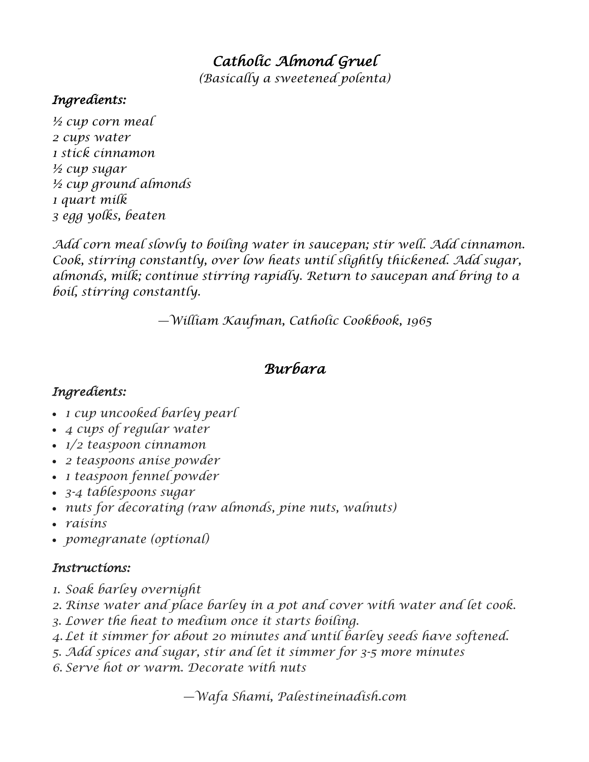# *Catholic Almond Gruel*

*(Basically a sweetened polenta)*

#### *Ingredients:*

*½ cup corn meal 2 cups water 1 stick cinnamon ½ cup sugar ½ cup ground almonds 1 quart milk 3 egg yolks, beaten*

*Add corn meal slowly to boiling water in saucepan; stir well. Add cinnamon. Cook, stirring constantly, over low heats until slightly thickened. Add sugar, almonds, milk; continue stirring rapidly. Return to saucepan and bring to a boil, stirring constantly.*

*—William Kaufman, Catholic Cookbook, 1965*

## *Burbara*

### *Ingredients:*

- *1 cup uncooked barley pearl*
- *4 cups of regular water*
- *1/2 teaspoon cinnamon*
- *2 teaspoons anise powder*
- *1 teaspoon fennel powder*
- *3-4 tablespoons sugar*
- *nuts for decorating (raw almonds, pine nuts, walnuts)*
- *raisins*
- *pomegranate (optional)*

#### *Instructions:*

- *1. Soak barley overnight*
- *2. Rinse water and place barley in a pot and cover with water and let cook.*
- *3. Lower the heat to medium once it starts boiling.*
- *4. Let it simmer for about 20 minutes and until barley seeds have softened.*
- *5. Add spices and sugar, stir and let it simmer for 3-5 more minutes*
- *6. Serve hot or warm. Decorate with nuts*

*—Wafa Shami, Palestineinadish.com*